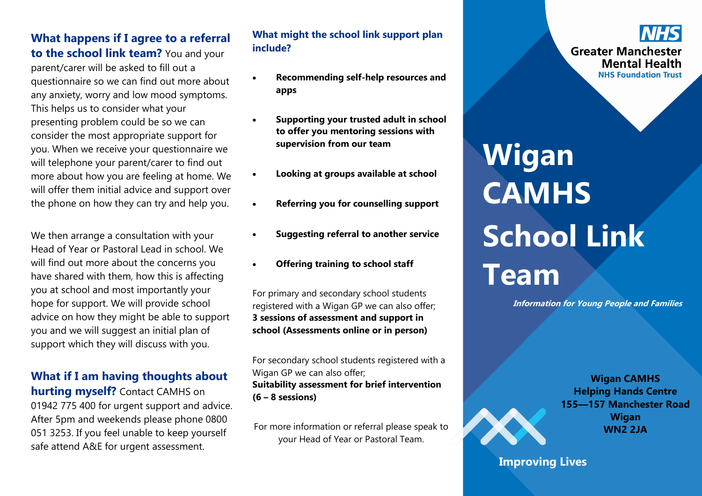**What happens if I agree to a referral to the school link team?** You and your parent/carer will be asked to fill out a questionnaire so we can find out more about any anxiety, worry and low mood symptoms. This helps us to consider what your presenting problem could be so we can consider the most appropriate support for you. When we receive your questionnaire we will telephone your parent/carer to find out more about how you are feeling at home. We will offer them initial advice and support over the phone on how they can try and help you.

We then arrange a consultation with your Head of Year or Pastoral Lead in school. We will find out more about the concerns you have shared with them, how this is affecting you at school and most importantly your hope for support. We will provide school advice on how they might be able to support you and we will suggest an initial plan of support which they will discuss with you.

## **What if I am having thoughts about**

**hurting myself?** Contact CAMHS on 01942 775 400 for urgent support and advice. After 5pm and weekends please phone 0800 051 3253. If you feel unable to keep yourself safe attend A&E for urgent assessment.

### **What might the school link support plan include?**

- **Recommending self-help resources and apps**
- **Supporting your trusted adult in school to offer you mentoring sessions with supervision from our team**
- **Looking at groups available at school**
- **Referring you for counselling support**
- **Suggesting referral to another service**
- **Offering training to school staff**

For primary and secondary school students registered with a Wigan GP we can also offer; **3 sessions of assessment and support in school (Assessments online or in person)**

For secondary school students registered with a Wigan GP we can also offer; **Suitability assessment for brief intervention (6 – 8 sessions)**

For more information or referral please speak to your Head of Year or Pastoral Team.

# **Wigan CAMHS School Link Team**

**Information for Young People and Families** 

**Wigan CAMHS Helping Hands Centre 155—157 Manchester Road Wigan WN2 2JA**

**Improving Lives**

**Greater Manchester Mental Health NHS Foundation Trust**